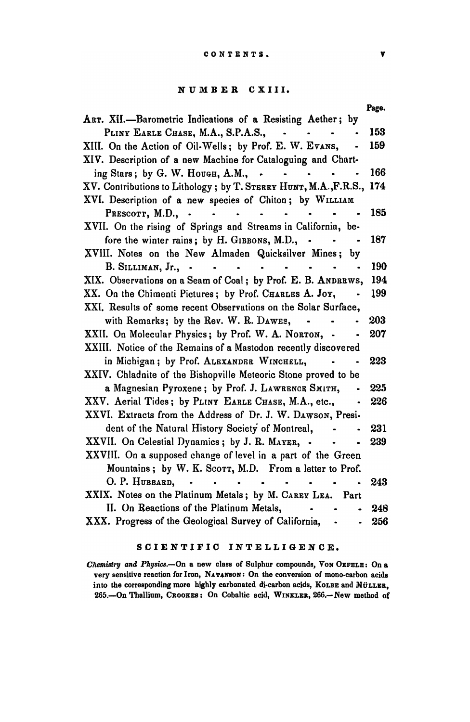## NUMBER CXIII.

|                                                                                                                                | Page. |
|--------------------------------------------------------------------------------------------------------------------------------|-------|
| ART. XII.-Barometric Indications of a Resisting Aether; by                                                                     |       |
| PLINY EARLE CHASE, M.A., S.P.A.S.,<br>$\bullet$ . The set of $\bullet$                                                         | 153   |
| XIII. On the Action of Oil-Wells; by Prof. E. W. Evans,                                                                        | 159   |
| XIV. Description of a new Machine for Cataloguing and Chart-                                                                   |       |
| ing Stars; by G. W. Hough, A.M., .<br>$\bullet$                                                                                | 166   |
| XV. Contributions to Lithology; by T. STERRY HUNT, M.A., F.R.S.,                                                               | 174   |
| XVI. Description of a new species of Chiton; by WILLIAM                                                                        |       |
| PRESCOTT, M.D., .<br>$\mathbf{a}$ , and $\mathbf{a}$ , and $\mathbf{a}$<br>$\ddot{\phantom{a}}$                                | 185   |
| XVII. On the rising of Springs and Streams in California, be-                                                                  |       |
| fore the winter rains; by H. GIBBONS, M.D., -                                                                                  | 187   |
| XVIII. Notes on the New Almaden Quicksilver Mines; by                                                                          |       |
| B. SILLIMAN, Jr., -<br><b>Contract Contract</b><br>$\bullet$ , $\bullet$ , $\bullet$ , $\bullet$ , $\bullet$<br>$\blacksquare$ | 190   |
| XIX. Observations on a Seam of Coal; by Prof. E. B. ANDRRWS,                                                                   | 194   |
| XX. On the Chimenti Pictures; by Prof. CHARLES A. Joy,                                                                         | 199   |
| XXI. Results of some recent Observations on the Solar Surface,                                                                 |       |
| with Remarks; by the Rev. W. R. DAWES,                                                                                         | 203   |
| XXII. On Molecular Physics; by Prof. W. A. NORTON, -                                                                           | 207   |
| XXIII. Notice of the Remains of a Mastodon recently discovered                                                                 |       |
| in Michigan; by Prof. ALEXANDER WINCHELL,                                                                                      | 223   |
| XXIV. Chladnite of the Bishopville Meteoric Stone proved to be                                                                 |       |
| a Magnesian Pyroxene; by Prof. J. LAWRENCE SMITH,                                                                              | 225   |
| XXV. Aerial Tides; by PLINY EARLE CHASE, M.A., etc.,                                                                           | 226   |
| XXVI. Extracts from the Address of Dr. J. W. DAWSON, Presi-                                                                    |       |
| dent of the Natural History Society of Montreal,                                                                               | 231   |
| XXVII. On Celestial Dynamics; by J. R. MAYER, -                                                                                | 239   |
| XXVIII. On a supposed change of level in a part of the Green                                                                   |       |
| Mountains; by W. K. Scorr, M.D. From a letter to Prof.                                                                         |       |
| O. P. HUBBARD. - -<br>$\ddot{\phantom{0}}$                                                                                     | 243   |
| XXIX. Notes on the Platinum Metals; by M. CAREY LEA. Part                                                                      |       |
| II. On Reactions of the Platinum Metals,                                                                                       | 248   |
| XXX. Progress of the Geological Survey of California,<br>$\bullet$                                                             | 256   |

## SCIENTIFIC INTELLIGENCE.

*Chemistry and Physics.*--On a new class of Sulphur compounds, Von OEFELE: On a very sensitive reaction for Iron, NATANSON: On the conversion of mono-carbon acids into the corresponding more highly carbonated di-carbon acids, KOLBE and MÜLLER, 265.-On Thallium, CROOKES: On Cobaltic acid, WINKLER, 266.-New method of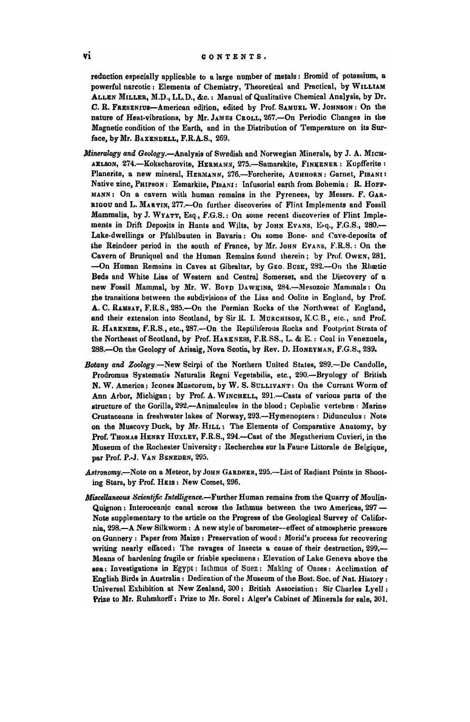reduction especially applicable to a large number of metals: Bromid of potassium, a powerful narcotic: Elements of Chemistry, Theoretical and Practical, by WILLIAM ALLEN MILLER, M.D., LL.D., &c.: Manual of Qualitative Chemical Analysis, by Dr. C. R. FRESENlus-American edition, edited by Prof. SAMUEL W. JOHNSON: On the nature of Heat.vibrations, by Mr. JAMES CROLL, 267.-0n Periodic Changes in the Magnetic condition of the Earth, and in the Distribution of Temperature on its Surface, by Mr. BAXENDELL, F.R.A.S., 269.

- *Mineralogy and Geology.*-Analysis of Swedish and Norwegian Minerals, by J. A. MICH-AELSON, 274.-Kokscharovite, HERMANN, 275.-Samarskite, FINKENER: Kupfferite: Planerite, a new mineral, HERMANN, 276.--Forcherite, АUННОRN: Garnet, PISANI: Native zinc, PHIPSON: Esmarkite, PISANI: Infusorial earth from Bohemia: R. HOFF-MANN: On a cavern with human remains in the Pyrenees, by Messrs. F. GAR-RIGOU and L. MARTIN, 277.-- On further discoveries of Flint Implements and Fossil Mammalia, by J. WYATT, Esq., F.G.S.: On some recent discoveries of Flint Implements in Drift Deposits in Hants and Wilts, by John Evans, E-q., F.G.S., 280.-Lake-dwellings or Pfahlbauten in Bavaria: On some Bone- and Cave-deposits of the Reindeer period in the south of France, by Mr. JOHN EVANS, F.R.S.: On the Cavern of Bruniquel and the Human Remains found therein; by Prof. OwEN, 281. -On Human Remains in Caves at Gibraltar, by GEO. BUSK, 282.-00 the Rluctic Beds and White Lias of Western and Central Somerset, and the Discovery of a new Fossil Mammal, by Mr. W. Bovp DAWKINS, 284.-Mesozoic Mammals: On lhe transitions between the subdivisions of the Lias and Oolile in England, by Prof. A. C. RAMSAY, F.R.S., 285.-0n the Permian Rocks of the Northwest of England, and their extension into Scotland, by Sir R. I. MURCHISON, K.C.B., etc., and Prof. R. HARKNESS, F.R.S., etc., 287.-- On the Reptiliferous Rocks and Footprint Strata of the Northeast of Scotland, by Prof. HARKNESS, F.R.SS., L. & E.: Coal in Venezuela, 288.-On the Geology of Arisaig, Nova Scotia, by Rev. D. HONEYMAN, F.G.S., 239.
- *Botany and Zoology.-New* Scirpi of the Northern United States, 289.-De Candolle. Prodromus Systematis Naturalis Regni Vegetabilis, etc., 290.—Bryology of British N. W. America; leones MJl8COrUm, by W. S. SULLIVANT: On Ihe Currant Worm of Ann Arbor, Michigan; by Prof. A. WINCHELL, 291.-Casts of various parts of the structure of the Gorilla, 292.--Animalcules in the blood: Cephalic vertebræ: Marine Crustaceans in freshwater lakes of Norway, 293.-Hymenoplera; Didunculus: Note on the Muscovy Duck, by Mr. HILL: The Elements of Comparative Anatomy, by Prof. THOMAS HENRY HUXLEY, F.R.S., 294.--Cast of the Megatherium Cuvieri, in the Museum of the Rochesler University: Recherches sur la Faune Littorale de Belgique, par Prof. P.·J. VAN BENEDEN, 295.
- Astronomy.-Note on a Meteor, by John GARDNER, 295.--List of Radiant Points in Shooting Stars, by Prof. HEIS: New Comet, 296.
- *Miscellaneous Scientifo:* InteUigence.-Further Human remains from the Quarry of Moulin-Quignon: Interoceanic canal across the Isthmus between the two Americas, 297 -Note supplementary to the article on the Progress of the Geological Survey of California, 298.-A New Silkworm: A new style of barometer--effect of atmospheric pressure on Gunnery: Paper from Maize: Preservation of wood: Morid's process for recovering writing nearly effaced: The ravages of Insects a cause of their destruction, 299,---Means of hardening fragile or friable specimens: Elevation of Lake Geneva above the sea: Investigations in Egypt: Isthmus of Suez: Making of Oases: Acclimation of English Birds in Australia: Dedication of the Museum of the Bost. Soc. of Nat. History: Universal Exhibition at New Zealand,  $500:$  British Association: Sir Charles Lyell: Prize to Mr. Ruhmkorff: Prize to Mr. Sorel: Alger's Cabinet of Minerals {or sale, 301.